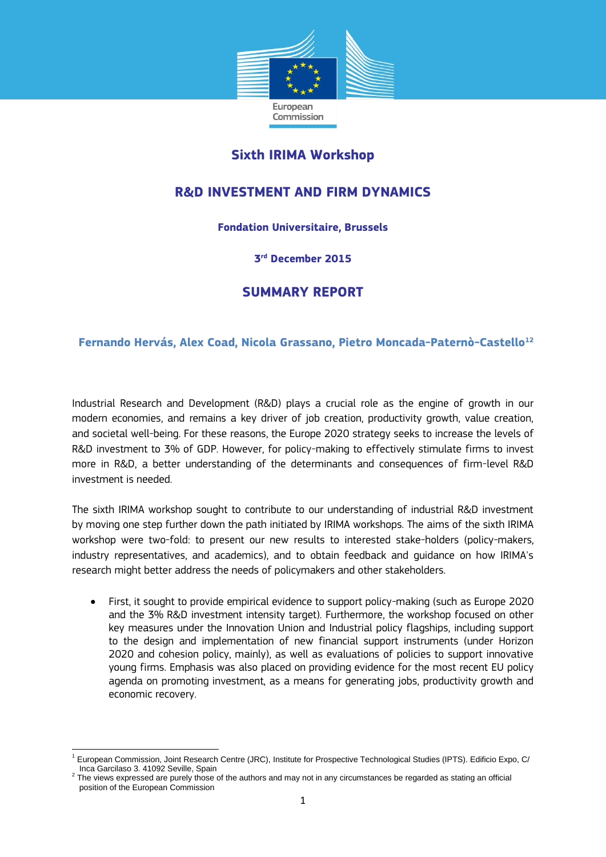

## **Sixth IRIMA Workshop**

# **R&D INVESTMENT AND FIRM DYNAMICS**

#### **Fondation Universitaire, Brussels**

#### **3 rd December 2015**

## **SUMMARY REPORT**

#### **Fernando Hervás, Alex Coad, Nicola Grassano, Pietro Moncada-Paternò-Castello<sup>12</sup>**

Industrial Research and Development (R&D) plays a crucial role as the engine of growth in our modern economies, and remains a key driver of job creation, productivity growth, value creation, and societal well-being. For these reasons, the Europe 2020 strategy seeks to increase the levels of R&D investment to 3% of GDP. However, for policy-making to effectively stimulate firms to invest more in R&D, a better understanding of the determinants and consequences of firm-level R&D investment is needed.

The sixth IRIMA workshop sought to contribute to our understanding of industrial R&D investment by moving one step further down the path initiated by IRIMA workshops. The aims of the sixth IRIMA workshop were two-fold: to present our new results to interested stake-holders (policy-makers, industry representatives, and academics), and to obtain feedback and guidance on how IRIMA's research might better address the needs of policymakers and other stakeholders.

 First, it sought to provide empirical evidence to support policy-making (such as Europe 2020 and the 3% R&D investment intensity target). Furthermore, the workshop focused on other key measures under the Innovation Union and Industrial policy flagships, including support to the design and implementation of new financial support instruments (under Horizon 2020 and cohesion policy, mainly), as well as evaluations of policies to support innovative young firms. Emphasis was also placed on providing evidence for the most recent EU policy agenda on promoting investment, as a means for generating jobs, productivity growth and economic recovery.

<sup>1</sup> <sup>1</sup> European Commission, Joint Research Centre (JRC), Institute for Prospective Technological Studies (IPTS). Edificio Expo, C/ Inca Garcilaso 3. 41092 Seville, Spain

 $2$  The views expressed are purely those of the authors and may not in any circumstances be regarded as stating an official position of the European Commission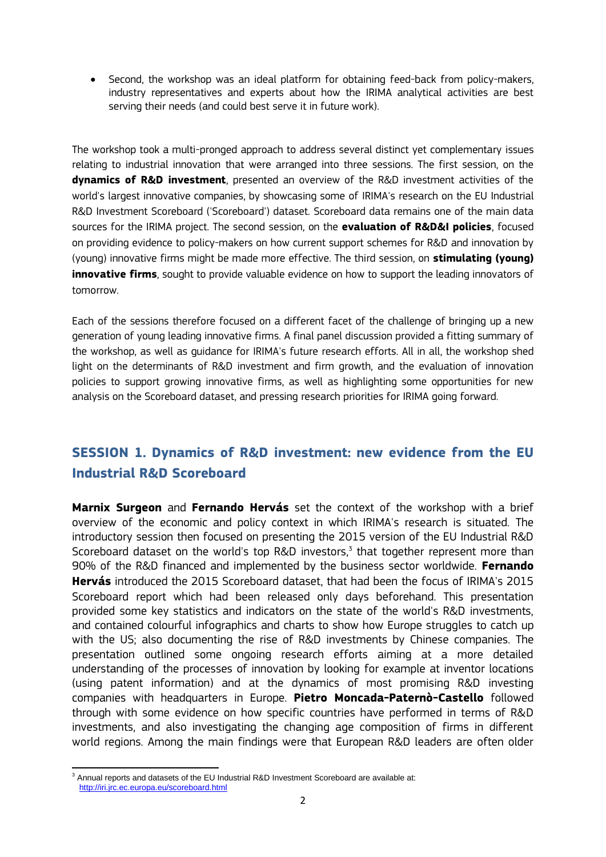Second, the workshop was an ideal platform for obtaining feed-back from policy-makers, industry representatives and experts about how the IRIMA analytical activities are best serving their needs (and could best serve it in future work).

The workshop took a multi-pronged approach to address several distinct yet complementary issues relating to industrial innovation that were arranged into three sessions. The first session, on the **dynamics of R&D investment**, presented an overview of the R&D investment activities of the world's largest innovative companies, by showcasing some of IRIMA's research on the EU Industrial R&D Investment Scoreboard ('Scoreboard') dataset. Scoreboard data remains one of the main data sources for the IRIMA project. The second session, on the **evaluation of R&D&I policies**, focused on providing evidence to policy-makers on how current support schemes for R&D and innovation by (young) innovative firms might be made more effective. The third session, on **stimulating (young) innovative firms**, sought to provide valuable evidence on how to support the leading innovators of tomorrow.

Each of the sessions therefore focused on a different facet of the challenge of bringing up a new generation of young leading innovative firms. A final panel discussion provided a fitting summary of the workshop, as well as guidance for IRIMA's future research efforts. All in all, the workshop shed light on the determinants of R&D investment and firm growth, and the evaluation of innovation policies to support growing innovative firms, as well as highlighting some opportunities for new analysis on the Scoreboard dataset, and pressing research priorities for IRIMA going forward.

# **SESSION 1. Dynamics of R&D investment: new evidence from the EU Industrial R&D Scoreboard**

**Marnix Surgeon** and **Fernando Hervás** set the context of the workshop with a brief overview of the economic and policy context in which IRIMA's research is situated. The introductory session then focused on presenting the 2015 version of the EU Industrial R&D Scoreboard dataset on the world's top R&D investors, 3 that together represent more than 90% of the R&D financed and implemented by the business sector worldwide. **Fernando Hervás** introduced the 2015 Scoreboard dataset, that had been the focus of IRIMA's 2015 Scoreboard report which had been released only days beforehand. This presentation provided some key statistics and indicators on the state of the world's R&D investments, and contained colourful infographics and charts to show how Europe struggles to catch up with the US; also documenting the rise of R&D investments by Chinese companies. The presentation outlined some ongoing research efforts aiming at a more detailed understanding of the processes of innovation by looking for example at inventor locations (using patent information) and at the dynamics of most promising R&D investing companies with headquarters in Europe. **Pietro Moncada-Paternò-Castello** followed through with some evidence on how specific countries have performed in terms of R&D investments, and also investigating the changing age composition of firms in different world regions. Among the main findings were that European R&D leaders are often older

<sup>1</sup>  $3$  Annual reports and datasets of the EU Industrial R&D Investment Scoreboard are available at: <http://iri.jrc.ec.europa.eu/scoreboard.html>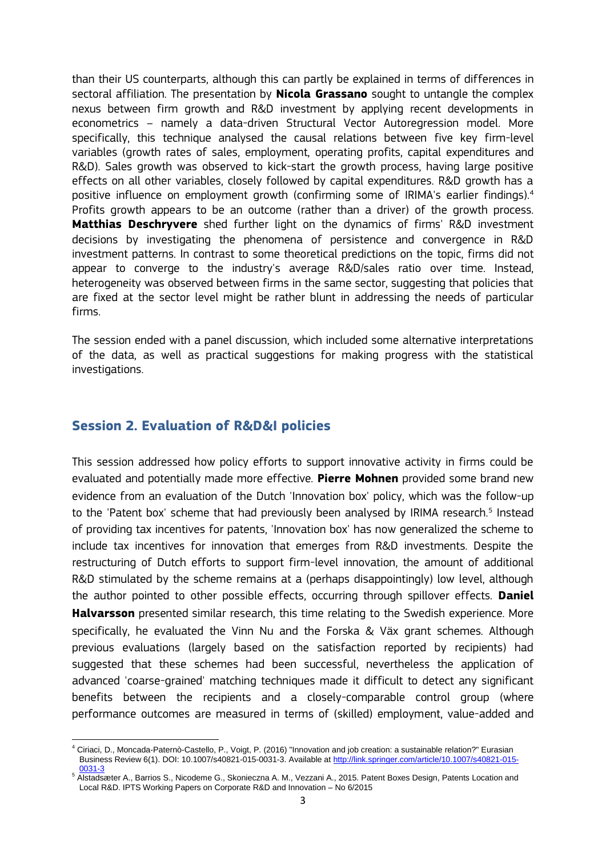than their US counterparts, although this can partly be explained in terms of differences in sectoral affiliation. The presentation by **Nicola Grassano** sought to untangle the complex nexus between firm growth and R&D investment by applying recent developments in econometrics – namely a data-driven Structural Vector Autoregression model. More specifically, this technique analysed the causal relations between five key firm-level variables (growth rates of sales, employment, operating profits, capital expenditures and R&D). Sales growth was observed to kick-start the growth process, having large positive effects on all other variables, closely followed by capital expenditures. R&D growth has a positive influence on employment growth (confirming some of IRIMA's earlier findings).<sup>4</sup> Profits growth appears to be an outcome (rather than a driver) of the growth process. **Matthias Deschryvere** shed further light on the dynamics of firms' R&D investment decisions by investigating the phenomena of persistence and convergence in R&D investment patterns. In contrast to some theoretical predictions on the topic, firms did not appear to converge to the industry's average R&D/sales ratio over time. Instead, heterogeneity was observed between firms in the same sector, suggesting that policies that are fixed at the sector level might be rather blunt in addressing the needs of particular firms.

The session ended with a panel discussion, which included some alternative interpretations of the data, as well as practical suggestions for making progress with the statistical investigations.

### **Session 2. Evaluation of R&D&I policies**

This session addressed how policy efforts to support innovative activity in firms could be evaluated and potentially made more effective. **Pierre Mohnen** provided some brand new evidence from an evaluation of the Dutch 'Innovation box' policy, which was the follow-up to the 'Patent box' scheme that had previously been analysed by IRIMA research.<sup>5</sup> Instead of providing tax incentives for patents, 'Innovation box' has now generalized the scheme to include tax incentives for innovation that emerges from R&D investments. Despite the restructuring of Dutch efforts to support firm-level innovation, the amount of additional R&D stimulated by the scheme remains at a (perhaps disappointingly) low level, although the author pointed to other possible effects, occurring through spillover effects. **Daniel Halvarsson** presented similar research, this time relating to the Swedish experience. More specifically, he evaluated the Vinn Nu and the Forska & Väx grant schemes. Although previous evaluations (largely based on the satisfaction reported by recipients) had suggested that these schemes had been successful, nevertheless the application of advanced 'coarse-grained' matching techniques made it difficult to detect any significant benefits between the recipients and a closely-comparable control group (where performance outcomes are measured in terms of (skilled) employment, value-added and

 $\overline{a}$ <sup>4</sup> Ciriaci, D., Moncada-Paternò-Castello, P., Voigt, P. (2016) "Innovation and job creation: a sustainable relation?" Eurasian Business Review 6(1). DOI: 10.1007/s40821-015-0031-3. Available a[t http://link.springer.com/article/10.1007/s40821-015-](http://link.springer.com/article/10.1007/s40821-015-0031-3) [0031-3](http://link.springer.com/article/10.1007/s40821-015-0031-3)

<sup>5</sup> Alstadsæter A., Barrios S., Nicodeme G., Skonieczna A. M., Vezzani A., 2015. Patent Boxes Design, Patents Location and Local R&D. IPTS Working Papers on Corporate R&D and Innovation – No 6/2015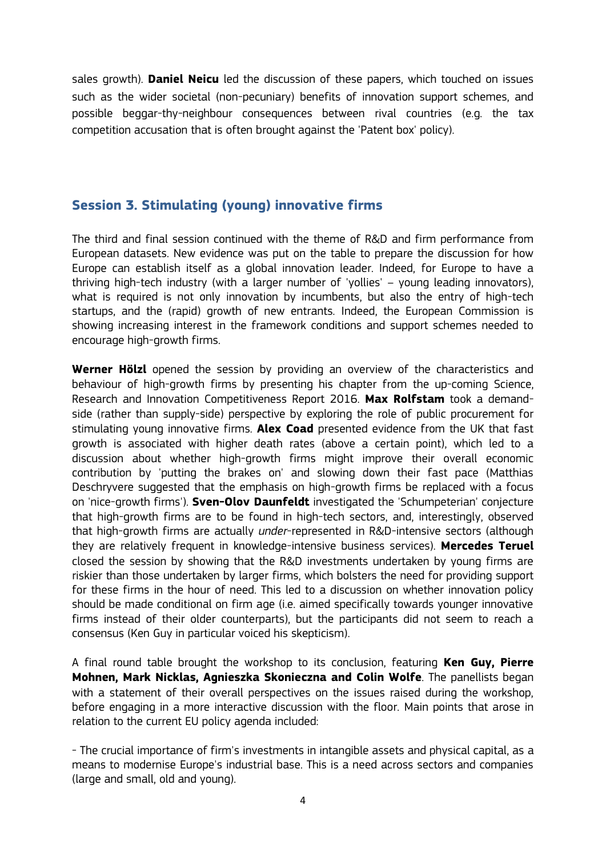sales growth). **Daniel Neicu** led the discussion of these papers, which touched on issues such as the wider societal (non-pecuniary) benefits of innovation support schemes, and possible beggar-thy-neighbour consequences between rival countries (e.g. the tax competition accusation that is often brought against the 'Patent box' policy).

## **Session 3. Stimulating (young) innovative firms**

The third and final session continued with the theme of R&D and firm performance from European datasets. New evidence was put on the table to prepare the discussion for how Europe can establish itself as a global innovation leader. Indeed, for Europe to have a thriving high-tech industry (with a larger number of 'yollies' – young leading innovators), what is required is not only innovation by incumbents, but also the entry of high-tech startups, and the (rapid) growth of new entrants. Indeed, the European Commission is showing increasing interest in the framework conditions and support schemes needed to encourage high-growth firms.

**Werner Hölzl** opened the session by providing an overview of the characteristics and behaviour of high-growth firms by presenting his chapter from the up-coming Science, Research and Innovation Competitiveness Report 2016. **Max Rolfstam** took a demandside (rather than supply-side) perspective by exploring the role of public procurement for stimulating young innovative firms. **Alex Coad** presented evidence from the UK that fast growth is associated with higher death rates (above a certain point), which led to a discussion about whether high-growth firms might improve their overall economic contribution by 'putting the brakes on' and slowing down their fast pace (Matthias Deschryvere suggested that the emphasis on high-growth firms be replaced with a focus on 'nice-growth firms'). **Sven-Olov Daunfeldt** investigated the 'Schumpeterian' conjecture that high-growth firms are to be found in high-tech sectors, and, interestingly, observed that high-growth firms are actually *under*-represented in R&D-intensive sectors (although they are relatively frequent in knowledge-intensive business services). **Mercedes Teruel** closed the session by showing that the R&D investments undertaken by young firms are riskier than those undertaken by larger firms, which bolsters the need for providing support for these firms in the hour of need. This led to a discussion on whether innovation policy should be made conditional on firm age (i.e. aimed specifically towards younger innovative firms instead of their older counterparts), but the participants did not seem to reach a consensus (Ken Guy in particular voiced his skepticism).

A final round table brought the workshop to its conclusion, featuring **Ken Guy, Pierre Mohnen, Mark Nicklas, Agnieszka Skonieczna and Colin Wolfe**. The panellists began with a statement of their overall perspectives on the issues raised during the workshop, before engaging in a more interactive discussion with the floor. Main points that arose in relation to the current EU policy agenda included:

- The crucial importance of firm's investments in intangible assets and physical capital, as a means to modernise Europe's industrial base. This is a need across sectors and companies (large and small, old and young).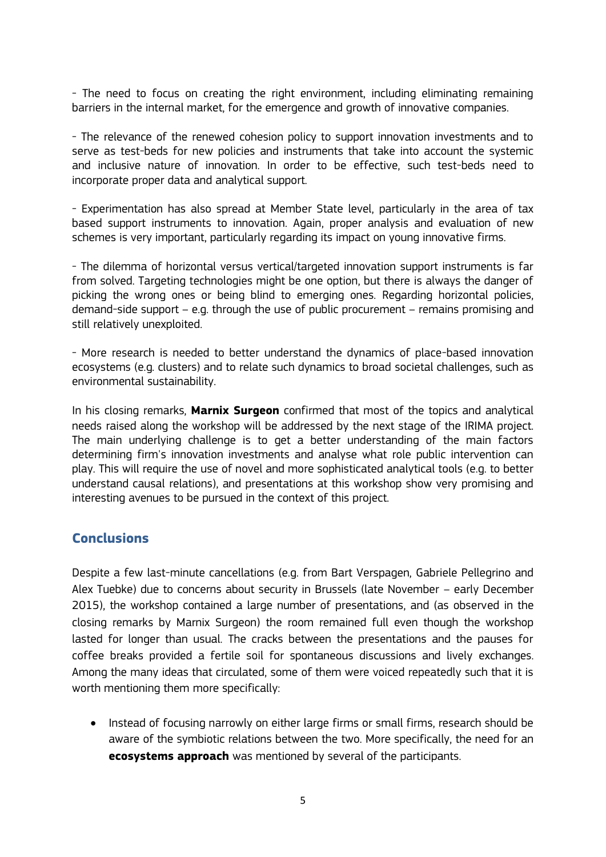- The need to focus on creating the right environment, including eliminating remaining barriers in the internal market, for the emergence and growth of innovative companies.

- The relevance of the renewed cohesion policy to support innovation investments and to serve as test-beds for new policies and instruments that take into account the systemic and inclusive nature of innovation. In order to be effective, such test-beds need to incorporate proper data and analytical support.

- Experimentation has also spread at Member State level, particularly in the area of tax based support instruments to innovation. Again, proper analysis and evaluation of new schemes is very important, particularly regarding its impact on young innovative firms.

- The dilemma of horizontal versus vertical/targeted innovation support instruments is far from solved. Targeting technologies might be one option, but there is always the danger of picking the wrong ones or being blind to emerging ones. Regarding horizontal policies, demand-side support – e.g. through the use of public procurement – remains promising and still relatively unexploited.

- More research is needed to better understand the dynamics of place-based innovation ecosystems (e.g. clusters) and to relate such dynamics to broad societal challenges, such as environmental sustainability.

In his closing remarks, **Marnix Surgeon** confirmed that most of the topics and analytical needs raised along the workshop will be addressed by the next stage of the IRIMA project. The main underlying challenge is to get a better understanding of the main factors determining firm's innovation investments and analyse what role public intervention can play. This will require the use of novel and more sophisticated analytical tools (e.g. to better understand causal relations), and presentations at this workshop show very promising and interesting avenues to be pursued in the context of this project.

## **Conclusions**

Despite a few last-minute cancellations (e.g. from Bart Verspagen, Gabriele Pellegrino and Alex Tuebke) due to concerns about security in Brussels (late November – early December 2015), the workshop contained a large number of presentations, and (as observed in the closing remarks by Marnix Surgeon) the room remained full even though the workshop lasted for longer than usual. The cracks between the presentations and the pauses for coffee breaks provided a fertile soil for spontaneous discussions and lively exchanges. Among the many ideas that circulated, some of them were voiced repeatedly such that it is worth mentioning them more specifically:

• Instead of focusing narrowly on either large firms or small firms, research should be aware of the symbiotic relations between the two. More specifically, the need for an **ecosystems approach** was mentioned by several of the participants.